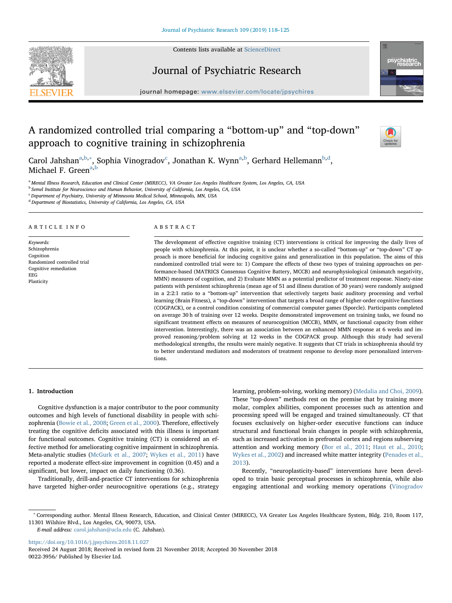Contents lists available at [ScienceDirect](http://www.sciencedirect.com/science/journal/00223956)





## Journal of Psychiatric Research

journal homepage: [www.elsevier.com/locate/jpsychires](https://www.elsevier.com/locate/jpsychires)

# A randomized controlled trial comparing a "bottom-up" and "top-down" approach to cognitive training in schizophrenia



C[a](#page-0-0)rol Jahshan<sup>a,[b,](#page-0-1)</sup>\*, Sophia Vinogradov<sup>[c](#page-0-3)</sup>, Jonathan K. Wynn<sup>a[,b](#page-0-1)</sup>, Gerhard Hellemann<sup>[b](#page-0-1)[,d](#page-0-4)</sup>, Mich[a](#page-0-0)el F. Green<sup>a[,b](#page-0-1)</sup>

<span id="page-0-0"></span>a Mental Illness Research, Education and Clinical Center (MIRECC), VA Greater Los Angeles Healthcare System, Los Angeles, CA, USA

<span id="page-0-1"></span><sup>b</sup> Semel Institute for Neuroscience and Human Behavior, University of California, Los Angeles, CA, USA

<span id="page-0-3"></span> $c$  Department of Psychiatry, University of Minnesota Medical School, Minneapolis, MN, USA

<span id="page-0-4"></span><sup>d</sup> Department of Biostatistics, University of California, Los Angeles, CA, USA

## ARTICLE INFO

Keywords: Schizophrenia Cognition Randomized controlled trial Cognitive remediation EEG Plasticity

## ABSTRACT

The development of effective cognitive training (CT) interventions is critical for improving the daily lives of people with schizophrenia. At this point, it is unclear whether a so-called "bottom-up" or "top-down" CT approach is more beneficial for inducing cognitive gains and generalization in this population. The aims of this randomized controlled trial were to: 1) Compare the effects of these two types of training approaches on performance-based (MATRICS Consensus Cognitive Battery, MCCB) and neurophysiological (mismatch negativity, MMN) measures of cognition, and 2) Evaluate MMN as a potential predictor of treatment response. Ninety-nine patients with persistent schizophrenia (mean age of 51 and illness duration of 30 years) were randomly assigned in a 2:2:1 ratio to a "bottom-up" intervention that selectively targets basic auditory processing and verbal learning (Brain Fitness), a "top-down" intervention that targets a broad range of higher-order cognitive functions (COGPACK), or a control condition consisting of commercial computer games (Sporcle). Participants completed on average 30 h of training over 12 weeks. Despite demonstrated improvement on training tasks, we found no significant treatment effects on measures of neurocognition (MCCB), MMN, or functional capacity from either intervention. Interestingly, there was an association between an enhanced MMN response at 6 weeks and improved reasoning/problem solving at 12 weeks in the COGPACK group. Although this study had several methodological strengths, the results were mainly negative. It suggests that CT trials in schizophrenia should try to better understand mediators and moderators of treatment response to develop more personalized interventions.

#### 1. Introduction

Cognitive dysfunction is a major contributor to the poor community outcomes and high levels of functional disability in people with schizophrenia ([Bowie et al., 2008](#page-6-0); [Green et al., 2000\)](#page-6-1). Therefore, effectively treating the cognitive deficits associated with this illness is important for functional outcomes. Cognitive training (CT) is considered an effective method for ameliorating cognitive impairment in schizophrenia. Meta-analytic studies ([McGurk et al., 2007;](#page-7-0) [Wykes et al., 2011\)](#page-7-1) have reported a moderate effect-size improvement in cognition (0.45) and a significant, but lower, impact on daily functioning (0.36).

Traditionally, drill-and-practice CT interventions for schizophrenia have targeted higher-order neurocognitive operations (e.g., strategy

learning, problem-solving, working memory) ([Medalia and Choi, 2009](#page-7-2)). These "top-down" methods rest on the premise that by training more molar, complex abilities, component processes such as attention and processing speed will be engaged and trained simultaneously. CT that focuses exclusively on higher-order executive functions can induce structural and functional brain changes in people with schizophrenia, such as increased activation in prefrontal cortex and regions subserving attention and working memory [\(Bor et al., 2011;](#page-6-2) [Haut et al., 2010](#page-6-3); [Wykes et al., 2002\)](#page-7-3) and increased white matter integrity ([Penades et al.,](#page-7-4) [2013\)](#page-7-4).

Recently, "neuroplasticity-based" interventions have been developed to train basic perceptual processes in schizophrenia, while also engaging attentional and working memory operations ([Vinogradov](#page-7-5)

E-mail address: [carol.jahshan@ucla.edu](mailto:carol.jahshan@ucla.edu) (C. Jahshan).

<https://doi.org/10.1016/j.jpsychires.2018.11.027>

<span id="page-0-2"></span><sup>∗</sup> Corresponding author. Mental Illness Research, Education, and Clinical Center (MIRECC), VA Greater Los Angeles Healthcare System, Bldg. 210, Room 117, 11301 Wilshire Blvd., Los Angeles, CA, 90073, USA.

Received 24 August 2018; Received in revised form 21 November 2018; Accepted 30 November 2018 0022-3956/ Published by Elsevier Ltd.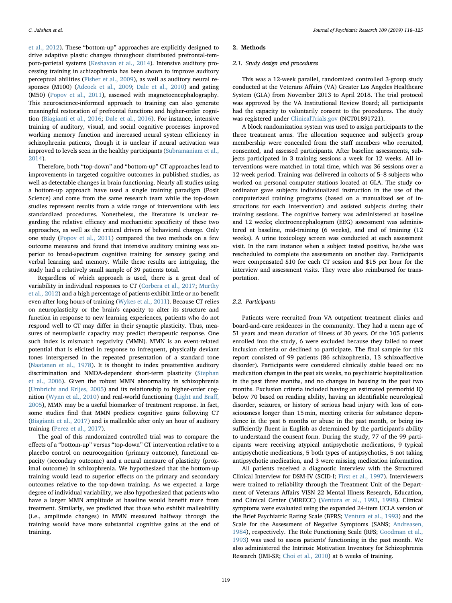[et al., 2012](#page-7-5)). These "bottom-up" approaches are explicitly designed to drive adaptive plastic changes throughout distributed prefrontal-temporo-parietal systems ([Keshavan et al., 2014\)](#page-6-4). Intensive auditory processing training in schizophrenia has been shown to improve auditory perceptual abilities [\(Fisher et al., 2009](#page-6-5)), as well as auditory neural responses (M100) [\(Adcock et al., 2009](#page-6-6); [Dale et al., 2010\)](#page-6-7) and gating (M50) [\(Popov et al., 2011](#page-7-6)), assessed with magnetoencephalography. This neuroscience-informed approach to training can also generate meaningful restoration of prefrontal functions and higher-order cognition ([Biagianti et al., 2016;](#page-6-8) [Dale et al., 2016\)](#page-6-9). For instance, intensive training of auditory, visual, and social cognitive processes improved working memory function and increased neural system efficiency in schizophrenia patients, though it is unclear if neural activation was improved to levels seen in the healthy participants [\(Subramaniam et al.,](#page-7-7) [2014\)](#page-7-7).

Therefore, both "top-down" and "bottom-up" CT approaches lead to improvements in targeted cognitive outcomes in published studies, as well as detectable changes in brain functioning. Nearly all studies using a bottom-up approach have used a single training paradigm (Posit Science) and come from the same research team while the top-down studies represent results from a wide range of interventions with less standardized procedures. Nonetheless, the literature is unclear regarding the relative efficacy and mechanistic specificity of these two approaches, as well as the critical drivers of behavioral change. Only one study [\(Popov et al., 2011\)](#page-7-6) compared the two methods on a few outcome measures and found that intensive auditory training was superior to broad-spectrum cognitive training for sensory gating and verbal learning and memory. While these results are intriguing, the study had a relatively small sample of 39 patients total.

Regardless of which approach is used, there is a great deal of variability in individual responses to CT [\(Corbera et al., 2017;](#page-6-10) [Murthy](#page-7-8) [et al., 2012\)](#page-7-8) and a high percentage of patients exhibit little or no benefit even after long hours of training ([Wykes et al., 2011](#page-7-1)). Because CT relies on neuroplasticity or the brain's capacity to alter its structure and function in response to new learning experiences, patients who do not respond well to CT may differ in their synaptic plasticity. Thus, measures of neuroplastic capacity may predict therapeutic response. One such index is mismatch negativity (MMN). MMN is an event-related potential that is elicited in response to infrequent, physically deviant tones interspersed in the repeated presentation of a standard tone ([Naatanen et al., 1978\)](#page-7-9). It is thought to index preattentive auditory discrimination and NMDA-dependent short-term plasticity [\(Stephan](#page-7-10) [et al., 2006](#page-7-10)). Given the robust MMN abnormality in schizophrenia ([Umbricht and Krljes, 2005\)](#page-7-11) and its relationship to higher-order cognition ([Wynn et al., 2010](#page-7-12)) and real-world functioning [\(Light and Bra](#page-6-11)ff, [2005\)](#page-6-11), MMN may be a useful biomarker of treatment response. In fact, some studies find that MMN predicts cognitive gains following CT ([Biagianti et al., 2017](#page-6-12)) and is malleable after only an hour of auditory training [\(Perez et al., 2017\)](#page-7-13).

The goal of this randomized controlled trial was to compare the effects of a "bottom-up" versus "top-down" CT intervention relative to a placebo control on neurocognition (primary outcome), functional capacity (secondary outcome) and a neural measure of plasticity (proximal outcome) in schizophrenia. We hypothesized that the bottom-up training would lead to superior effects on the primary and secondary outcomes relative to the top-down training. As we expected a large degree of individual variability, we also hypothesized that patients who have a larger MMN amplitude at baseline would benefit more from treatment. Similarly, we predicted that those who exhibit malleability (i.e., amplitude changes) in MMN measured halfway through the training would have more substantial cognitive gains at the end of training.

## 2. Methods

## 2.1. Study design and procedures

This was a 12-week parallel, randomized controlled 3-group study conducted at the Veterans Affairs (VA) Greater Los Angeles Healthcare System (GLA) from November 2013 to April 2018. The trial protocol was approved by the VA Institutional Review Board; all participants had the capacity to voluntarily consent to the procedures. The study was registered under [ClinicalTrials.gov](http://ClinicalTrials.gov) (NCT01891721).

A block randomization system was used to assign participants to the three treatment arms. The allocation sequence and subject's group membership were concealed from the staff members who recruited, consented, and assessed participants. After baseline assessments, subjects participated in 3 training sessions a week for 12 weeks. All interventions were matched in total time, which was 36 sessions over a 12-week period. Training was delivered in cohorts of 5–8 subjects who worked on personal computer stations located at GLA. The study coordinator gave subjects individualized instruction in the use of the computerized training programs (based on a manualized set of instructions for each intervention) and assisted subjects during their training sessions. The cognitive battery was administered at baseline and 12 weeks; electroencephalogram (EEG) assessment was administered at baseline, mid-training (6 weeks), and end of training (12 weeks). A urine toxicology screen was conducted at each assessment visit. In the rare instance when a subject tested positive, he/she was rescheduled to complete the assessments on another day. Participants were compensated \$10 for each CT session and \$15 per hour for the interview and assessment visits. They were also reimbursed for transportation.

#### 2.2. Participants

Patients were recruited from VA outpatient treatment clinics and board-and-care residences in the community. They had a mean age of 51 years and mean duration of illness of 30 years. Of the 105 patients enrolled into the study, 6 were excluded because they failed to meet inclusion criteria or declined to participate. The final sample for this report consisted of 99 patients (86 schizophrenia, 13 schizoaffective disorder). Participants were considered clinically stable based on: no medication changes in the past six weeks, no psychiatric hospitalization in the past three months, and no changes in housing in the past two months. Exclusion criteria included having an estimated premorbid IQ below 70 based on reading ability, having an identifiable neurological disorder, seizures, or history of serious head injury with loss of consciousness longer than 15 min, meeting criteria for substance dependence in the past 6 months or abuse in the past month, or being insufficiently fluent in English as determined by the participant's ability to understand the consent form. During the study, 77 of the 99 participants were receiving atypical antipsychotic medications, 9 typical antipsychotic medications, 5 both types of antipsychotics, 5 not taking antipsychotic medication, and 3 were missing medication information.

All patients received a diagnostic interview with the Structured Clinical Interview for DSM-IV (SCID-I; [First et al., 1997\)](#page-6-13). Interviewers were trained to reliability through the Treatment Unit of the Department of Veterans Affairs VISN 22 Mental Illness Research, Education, and Clinical Center (MIRECC) [\(Ventura et al., 1993,](#page-7-14) [1998\)](#page-7-15). Clinical symptoms were evaluated using the expanded 24-item UCLA version of the Brief Psychiatric Rating Scale (BPRS; [Ventura et al., 1993](#page-7-14)) and the Scale for the Assessment of Negative Symptoms (SANS; [Andreasen,](#page-6-14) [1984\)](#page-6-14), respectively. The Role Functioning Scale (RFS; [Goodman et al.,](#page-6-15) [1993\)](#page-6-15) was used to assess patients' functioning in the past month. We also administered the Intrinsic Motivation Inventory for Schizophrenia Research (IMI-SR; [Choi et al., 2010\)](#page-6-16) at 6 weeks of training.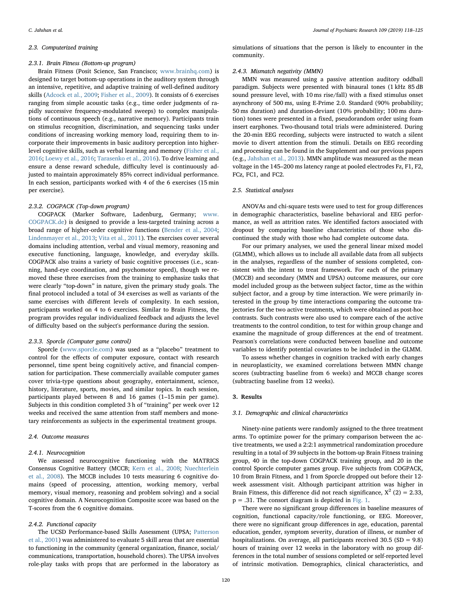#### 2.3. Computerized training

## 2.3.1. Brain Fitness (Bottom-up program)

Brain Fitness (Posit Science, San Francisco; [www.brainhq.com\)](http://www.brainhq.com/) is designed to target bottom-up operations in the auditory system through an intensive, repetitive, and adaptive training of well-defined auditory skills ([Adcock et al., 2009;](#page-6-6) [Fisher et al., 2009\)](#page-6-5). It consists of 6 exercises ranging from simple acoustic tasks (e.g., time order judgments of rapidly successive frequency-modulated sweeps) to complex manipulations of continuous speech (e.g., narrative memory). Participants train on stimulus recognition, discrimination, and sequencing tasks under conditions of increasing working memory load, requiring them to incorporate their improvements in basic auditory perception into higherlevel cognitive skills, such as verbal learning and memory [\(Fisher et al.,](#page-6-17) [2016;](#page-6-17) [Loewy et al., 2016](#page-7-16); [Tarasenko et al., 2016](#page-7-17)). To drive learning and ensure a dense reward schedule, difficulty level is continuously adjusted to maintain approximately 85% correct individual performance. In each session, participants worked with 4 of the 6 exercises (15 min per exercise).

#### 2.3.2. COGPACK (Top-down program)

COGPACK (Marker Software, Ladenburg, Germany; [www.](http://www.cogpack.de/) [COGPACK.de\)](http://www.cogpack.de/) is designed to provide a less-targeted training across a broad range of higher-order cognitive functions [\(Bender et al., 2004](#page-6-18); [Lindenmayer et al., 2013;](#page-7-18) [Vita et al., 2011](#page-7-19)). The exercises cover several domains including attention, verbal and visual memory, reasoning and executive functioning, language, knowledge, and everyday skills. COGPACK also trains a variety of basic cognitive processes (i.e., scanning, hand-eye coordination, and psychomotor speed), though we removed these three exercises from the training to emphasize tasks that were clearly "top-down" in nature, given the primary study goals. The final protocol included a total of 34 exercises as well as variants of the same exercises with different levels of complexity. In each session, participants worked on 4 to 6 exercises. Similar to Brain Fitness, the program provides regular individualized feedback and adjusts the level of difficulty based on the subject's performance during the session.

## 2.3.3. Sporcle (Computer game control)

Sporcle [\(www.sporcle.com\)](http://www.sporcle.com/) was used as a "placebo" treatment to control for the effects of computer exposure, contact with research personnel, time spent being cognitively active, and financial compensation for participation. These commercially available computer games cover trivia-type questions about geography, entertainment, science, history, literature, sports, movies, and similar topics. In each session, participants played between 8 and 16 games (1–15 min per game). Subjects in this condition completed 3 h of "training" per week over 12 weeks and received the same attention from staff members and monetary reinforcements as subjects in the experimental treatment groups.

#### 2.4. Outcome measures

## 2.4.1. Neurocognition

We assessed neurocognitive functioning with the MATRICS Consensus Cognitive Battery (MCCB; [Kern et al., 2008](#page-6-19); [Nuechterlein](#page-7-20) [et al., 2008\)](#page-7-20). The MCCB includes 10 tests measuring 6 cognitive domains (speed of processing, attention, working memory, verbal memory, visual memory, reasoning and problem solving) and a social cognitive domain. A Neurocognition Composite score was based on the T-scores from the 6 cognitive domains.

#### 2.4.2. Functional capacity

The UCSD Performance-based Skills Assessment (UPSA; [Patterson](#page-7-21) [et al., 2001\)](#page-7-21) was administered to evaluate 5 skill areas that are essential to functioning in the community (general organization, finance, social/ communications, transportation, household chores). The UPSA involves role-play tasks with props that are performed in the laboratory as simulations of situations that the person is likely to encounter in the community.

## 2.4.3. Mismatch negativity (MMN)

MMN was measured using a passive attention auditory oddball paradigm. Subjects were presented with binaural tones (1 kHz 85 dB sound pressure level, with 10 ms rise/fall) with a fixed stimulus onset asynchrony of 500 ms, using E-Prime 2.0. Standard (90% probability; 50 ms duration) and duration-deviant (10% probability; 100 ms duration) tones were presented in a fixed, pseudorandom order using foam insert earphones. Two-thousand total trials were administered. During the 20-min EEG recording, subjects were instructed to watch a silent movie to divert attention from the stimuli. Details on EEG recording and processing can be found in the Supplement and our previous papers (e.g., [Jahshan et al., 2013](#page-6-20)). MMN amplitude was measured as the mean voltage in the 145–200 ms latency range at pooled electrodes Fz, F1, F2, FCz, FC1, and FC2.

#### 2.5. Statistical analyses

ANOVAs and chi-square tests were used to test for group differences in demographic characteristics, baseline behavioral and EEG performance, as well as attrition rates. We identified factors associated with dropout by comparing baseline characteristics of those who discontinued the study with those who had complete outcome data.

For our primary analyses, we used the general linear mixed model (GLMM), which allows us to include all available data from all subjects in the analyses, regardless of the number of sessions completed, consistent with the intent to treat framework. For each of the primary (MCCB) and secondary (MMN and UPSA) outcome measures, our core model included group as the between subject factor, time as the within subject factor, and a group by time interaction. We were primarily interested in the group by time interactions comparing the outcome trajectories for the two active treatments, which were obtained as post-hoc contrasts. Such contrasts were also used to compare each of the active treatments to the control condition, to test for within group change and examine the magnitude of group differences at the end of treatment. Pearson's correlations were conducted between baseline and outcome variables to identify potential covariates to be included in the GLMM.

To assess whether changes in cognition tracked with early changes in neuroplasticity, we examined correlations between MMN change scores (subtracting baseline from 6 weeks) and MCCB change scores (subtracting baseline from 12 weeks).

## 3. Results

#### 3.1. Demographic and clinical characteristics

Ninety-nine patients were randomly assigned to the three treatment arms. To optimize power for the primary comparison between the active treatments, we used a 2:2:1 asymmetrical randomization procedure resulting in a total of 39 subjects in the bottom-up Brain Fitness training group, 40 in the top-down COGPACK training group, and 20 in the control Sporcle computer games group. Five subjects from COGPACK, 10 from Brain Fitness, and 1 from Sporcle dropped out before their 12 week assessment visit. Although participant attrition was higher in Brain Fitness, this difference did not reach significance,  $X^2$  (2) = 2.33,  $p = .31$ . The consort diagram is depicted in [Fig. 1](#page-3-0).

There were no significant group differences in baseline measures of cognition, functional capacity/role functioning, or EEG. Moreover, there were no significant group differences in age, education, parental education, gender, symptom severity, duration of illness, or number of hospitalizations. On average, all participants received 30.5 (SD = 9.8) hours of training over 12 weeks in the laboratory with no group differences in the total number of sessions completed or self-reported level of intrinsic motivation. Demographics, clinical characteristics, and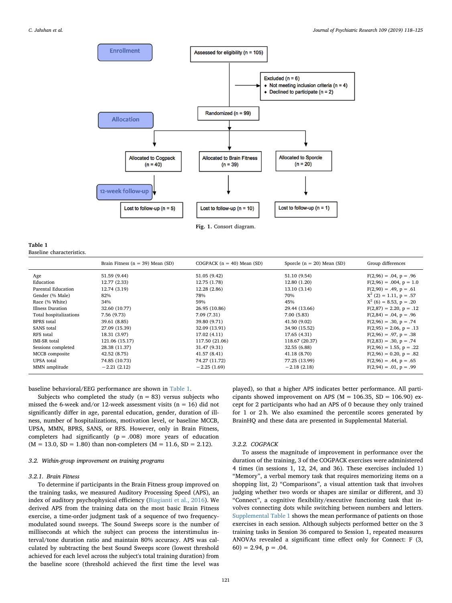<span id="page-3-0"></span>

Fig. 1. Consort diagram.

#### <span id="page-3-1"></span>Table 1

Baseline characteristics.

|                         | Brain Fitness $(n = 39)$ Mean $(SD)$ | COGPACK $(n = 40)$ Mean $(SD)$ | Sporcle $(n = 20)$ Mean (SD) | Group differences           |
|-------------------------|--------------------------------------|--------------------------------|------------------------------|-----------------------------|
| Age                     | 51.59 (9.44)                         | 51.05 (9.42)                   | 51.10 (9.54)                 | $F(2,96) = .04, p = .96$    |
| Education               | 12.77 (2.33)                         | 12.75 (1.78)                   | 12.80 (1.20)                 | $F(2,96) = .004, p = 1.0$   |
| Parental Education      | 12.74 (3.19)                         | 12.28 (2.86)                   | 13.10 (3.14)                 | $F(2,90) = .49, p = .61$    |
| Gender (% Male)         | 82%                                  | 78%                            | 70%                          | $X^2$ (2) = 1.11, p = .57   |
| Race (% White)          | 34%                                  | 59%                            | 45%                          | $X^2$ (6) = 8.53, p = .20   |
| <b>Illness Duration</b> | 32.60 (10.77)                        | 26.95 (10.86)                  | 29.44 (13.66)                | $F(2,87) = 2.20, p = .12$   |
| Total hospitalizations  | 7.56 (9.73)                          | 7.09 (7.31)                    | 7.00(5.83)                   | $F(2,84) = .04, p = .96$    |
| <b>BPRS</b> total       | 39.61 (8.85)                         | 39.80 (9.71)                   | 41.50 (9.02)                 | $F(2,96) = .30, p = .74$    |
| <b>SANS</b> total       | 27.09 (15.39)                        | 32.09 (13.91)                  | 34.90 (15.52)                | $F(2,95) = 2.06, p = .13$   |
| RFS total               | 18.31 (3.97)                         | 17.02 (4.11)                   | 17.65 (4.31)                 | $F(2,96) = .97, p = .38$    |
| IMI-SR total            | 121.06 (15.17)                       | 117.50 (21.06)                 | 118.67 (20.37)               | $F(2,83) = .30, p = .74$    |
| Sessions completed      | 28.38 (11.37)                        | 31.47 (9.31)                   | 32.55 (6.88)                 | $F(2,96) = 1.55, p = .22$   |
| MCCB composite          | 42.52 (8.75)                         | 41.57 (8.41)                   | 41.18 (8.70)                 | $F(2,96) = 0.20, p = .82$   |
| UPSA total              | 74.85 (10.73)                        | 74.27 (11.72)                  | 77.25 (13.99)                | $F(2,96) = .44, p = .65$    |
| MMN amplitude           | $-2.21(2.12)$                        | $-2.25(1.69)$                  | $-2.18(2.18)$                | $F(2,94) = .01$ , $p = .99$ |

baseline behavioral/EEG performance are shown in [Table 1.](#page-3-1)

Subjects who completed the study  $(n = 83)$  versus subjects who missed the 6-week and/or 12-week assessment visits ( $n = 16$ ) did not significantly differ in age, parental education, gender, duration of illness, number of hospitalizations, motivation level, or baseline MCCB, UPSA, MMN, BPRS, SANS, or RFS. However, only in Brain Fitness, completers had significantly  $(p = .008)$  more years of education  $(M = 13.0, SD = 1.80)$  than non-completers  $(M = 11.6, SD = 2.12)$ .

## 3.2. Within-group improvement on training programs

#### 3.2.1. Brain Fitness

To determine if participants in the Brain Fitness group improved on the training tasks, we measured Auditory Processing Speed (APS), an index of auditory psychophysical efficiency ([Biagianti et al., 2016\)](#page-6-8). We derived APS from the training data on the most basic Brain Fitness exercise, a time-order judgment task of a sequence of two frequencymodulated sound sweeps. The Sound Sweeps score is the number of milliseconds at which the subject can process the interstimulus interval/tone duration ratio and maintain 80% accuracy. APS was calculated by subtracting the best Sound Sweeps score (lowest threshold achieved for each level across the subject's total training duration) from the baseline score (threshold achieved the first time the level was

played), so that a higher APS indicates better performance. All participants showed improvement on APS ( $M = 106.35$ ,  $SD = 106.90$ ) except for 2 participants who had an APS of 0 because they only trained for 1 or 2 h. We also examined the percentile scores generated by BrainHQ and these data are presented in Supplemental Material.

## 3.2.2. COGPACK

To assess the magnitude of improvement in performance over the duration of the training, 3 of the COGPACK exercises were administered 4 times (in sessions 1, 12, 24, and 36). These exercises included 1) "Memory", a verbal memory task that requires memorizing items on a shopping list, 2) "Comparisons", a visual attention task that involves judging whether two words or shapes are similar or different, and 3) "Connect", a cognitive flexibility/executive functioning task that involves connecting dots while switching between numbers and letters. Supplemental Table 1 shows the mean performance of patients on those exercises in each session. Although subjects performed better on the 3 training tasks in Session 36 compared to Session 1, repeated measures ANOVAs revealed a significant time effect only for Connect: F (3,  $60$ ) = 2.94, p = .04.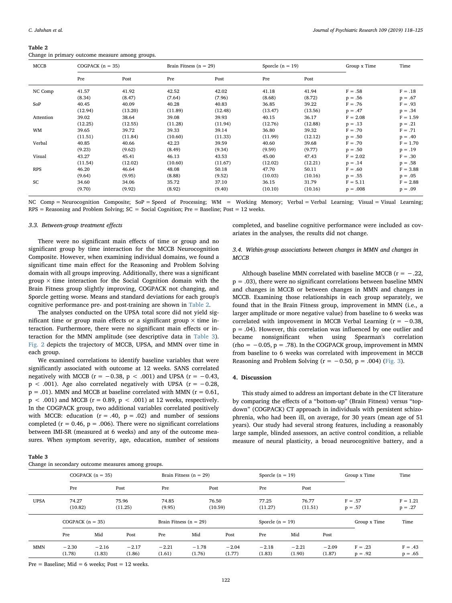<span id="page-4-0"></span>Change in primary outcome measure among groups.

| MCCB       | COGPACK $(n = 35)$ |         |         | Brain Fitness $(n = 29)$ |         | Sporcle $(n = 19)$ |            | Time       |
|------------|--------------------|---------|---------|--------------------------|---------|--------------------|------------|------------|
|            | Pre                | Post    | Pre     | Post                     | Pre     | Post               |            |            |
| NC Comp    | 41.57              | 41.92   | 42.52   | 42.02                    | 41.18   | 41.94              | $F = .58$  | $F=.18$    |
|            | (8.34)             | (8.47)  | (7.64)  | (7.96)                   | (8.68)  | (8.72)             | $p = .56$  | $p = .67$  |
| SoP        | 40.45              | 40.09   | 40.28   | 40.83                    | 36.85   | 39.22              | $F = .76$  | $F = .93$  |
|            | (12.94)            | (13.20) | (11.89) | (12.48)                  | (13.47) | (13.56)            | $p = .47$  | $p = .34$  |
| Attention  | 39.02              | 38.64   | 39.08   | 39.93                    | 40.15   | 36.17              | $F = 2.08$ | $F = 1.59$ |
|            | (12.25)            | (12.55) | (11.28) | (11.94)                  | (12.76) | (12.88)            | $p = .13$  | $p = .21$  |
| WM         | 39.65              | 39.72   | 39.33   | 39.14                    | 36.80   | 39.32              | $F = .70$  | $F = .71$  |
|            | (11.51)            | (11.84) | (10.60) | (11.33)                  | (11.99) | (12.12)            | $p = .50$  | $p = .40$  |
| Verbal     | 40.85              | 40.66   | 42.23   | 39.59                    | 40.60   | 39.68              | $F = .70$  | $F = 1.70$ |
|            | (9.23)             | (9.62)  | (8.49)  | (9.34)                   | (9.59)  | (9.77)             | $p = .50$  | $p = .19$  |
| Visual     | 43.27              | 45.41   | 46.13   | 43.53                    | 45.00   | 47.43              | $F = 2.02$ | $F = .30$  |
|            | (11.54)            | (12.02) | (10.60) | (11.67)                  | (12.02) | (12.21)            | $p = .14$  | $p = .58$  |
| <b>RPS</b> | 46.20              | 46.64   | 48.08   | 50.18                    | 47.70   | 50.11              | $F=.60$    | $F = 3.88$ |
|            | (9.64)             | (9.95)  | (8.88)  | (9.52)                   | (10.03) | (10.16)            | $p = .55$  | $p = .05$  |
| SC         | 34.60              | 34.06   | 35.72   | 37.10                    | 36.15   | 31.79              | $F = 5.11$ | $F = 2.88$ |
|            | (9.70)             | (9.92)  | (8.92)  | (9.40)                   | (10.10) | (10.16)            | $p = .008$ | $p = .09$  |

NC Comp = Neurocognition Composite; SoP = Speed of Processing; WM = Working Memory; Verbal = Verbal Learning; Visual = Visual Learning;  $RPS = Reasoning$  and Problem Solving;  $SC = Social Cognition$ ; Pre = Baseline; Post = 12 weeks.

### 3.3. Between-group treatment effects

There were no significant main effects of time or group and no significant group by time interaction for the MCCB Neurocognition Composite. However, when examining individual domains, we found a significant time main effect for the Reasoning and Problem Solving domain with all groups improving. Additionally, there was a significant group  $\times$  time interaction for the Social Cognition domain with the Brain Fitness group slightly improving, COGPACK not changing, and Sporcle getting worse. Means and standard deviations for each group's cognitive performance pre- and post-training are shown in [Table 2.](#page-4-0)

The analyses conducted on the UPSA total score did not yield significant time or group main effects or a significant group  $\times$  time interaction. Furthermore, there were no significant main effects or interaction for the MMN amplitude (see descriptive data in [Table 3](#page-4-1)). [Fig. 2](#page-5-0) depicts the trajectory of MCCB, UPSA, and MMN over time in each group.

We examined correlations to identify baseline variables that were significantly associated with outcome at 12 weeks. SANS correlated negatively with MCCB ( $r = -0.38$ ,  $p < .001$ ) and UPSA ( $r = -0.43$ ,  $p < .001$ ). Age also correlated negatively with UPSA ( $r = -0.28$ ,  $p = .01$ ). MMN and MCCB at baseline correlated with MMN ( $r = 0.61$ ,  $p < .001$ ) and MCCB ( $r = 0.89$ ,  $p < .001$ ) at 12 weeks, respectively. In the COGPACK group, two additional variables correlated positively with MCCB: education  $(r = .40, p = .02)$  and number of sessions completed ( $r = 0.46$ ,  $p = .006$ ). There were no significant correlations between IMI-SR (measured at 6 weeks) and any of the outcome measures. When symptom severity, age, education, number of sessions

completed, and baseline cognitive performance were included as covariates in the analyses, the results did not change.

## 3.4. Within-group associations between changes in MMN and changes in **MCCB**

Although baseline MMN correlated with baseline MCCB ( $r = -.22$ ,  $p = .03$ ), there were no significant correlations between baseline MMN and changes in MCCB or between changes in MMN and changes in MCCB. Examining those relationships in each group separately, we found that in the Brain Fitness group, improvement in MMN (i.e., a larger amplitude or more negative value) from baseline to 6 weeks was correlated with improvement in MCCB Verbal Learning ( $r = -0.38$ ,  $p = .04$ ). However, this correlation was influenced by one outlier and became nonsignificant when using Spearman's correlation  $(rho = -0.05, p = .78)$ . In the COGPACK group, improvement in MMN from baseline to 6 weeks was correlated with improvement in MCCB Reasoning and Problem Solving ( $r = -0.50$ ,  $p = .004$ ) [\(Fig. 3](#page-5-1)).

#### 4. Discussion

This study aimed to address an important debate in the CT literature by comparing the effects of a "bottom-up" (Brain Fitness) versus "topdown" (COGPACK) CT approach in individuals with persistent schizophrenia, who had been ill, on average, for 30 years (mean age of 51 years). Our study had several strong features, including a reasonably large sample, blinded assessors, an active control condition, a reliable measure of neural plasticity, a broad neurocognitive battery, and a

<span id="page-4-1"></span>

|--|--|

|  | Change in secondary outcome measures among groups. |  |  |
|--|----------------------------------------------------|--|--|
|  |                                                    |  |  |

|             |                                                            |         | change in occondary outcome including among groups. |                          |                          |                    |                    |                  |         |                        |                         |
|-------------|------------------------------------------------------------|---------|-----------------------------------------------------|--------------------------|--------------------------|--------------------|--------------------|------------------|---------|------------------------|-------------------------|
|             | COGPACK $(n = 35)$                                         |         |                                                     |                          | Brain Fitness $(n = 29)$ |                    | Sporcle $(n = 19)$ |                  |         | Group x Time           | Time                    |
|             | Pre                                                        |         | Post                                                | Pre                      |                          | Post               |                    | Post             |         |                        |                         |
| <b>UPSA</b> | 74.27<br>75.96<br>(10.82)<br>(11.25)<br>COGPACK $(n = 35)$ |         |                                                     | 74.85<br>(9.95)          |                          | 76.50<br>(10.59)   | 77.25<br>(11.27)   | 76.77<br>(11.51) |         | $F = .57$<br>$p = .57$ | $F = 1.21$<br>$p = .27$ |
|             |                                                            |         |                                                     | Brain Fitness $(n = 29)$ |                          | Sporcle $(n = 19)$ |                    | Group x Time     | Time    |                        |                         |
|             | Pre                                                        | Mid     | Post                                                | Pre                      | Mid                      | Post               | Pre                | Mid              | Post    |                        |                         |
| <b>MMN</b>  | $-2.30$                                                    | $-2.16$ | $-2.17$                                             | $-2.21$                  | $-1.78$                  | $-2.04$            | $-2.18$            | $-2.21$          | $-2.09$ | $F = .23$              | $F = .43$               |
|             | (1.78)                                                     | (1.83)  | (1.86)                                              | (1.61)                   | (1.76)                   | (1.77)             | (1.83)             | (1.90)           | (1.87)  | $p = .92$              | $p = .65$               |

Pre = Baseline; Mid = 6 weeks; Post = 12 weeks.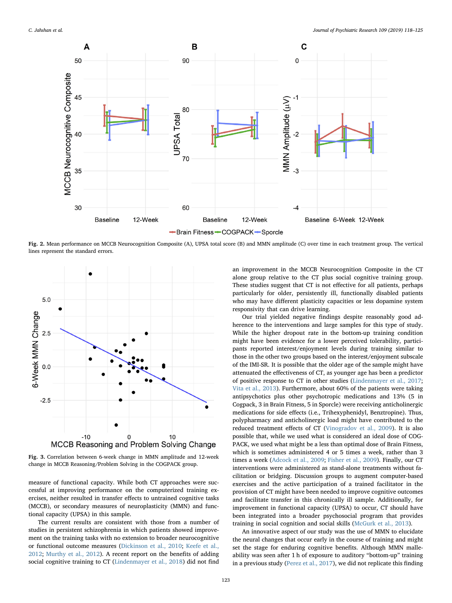<span id="page-5-0"></span>

Fig. 2. Mean performance on MCCB Neurocognition Composite (A), UPSA total score (B) and MMN amplitude (C) over time in each treatment group. The vertical lines represent the standard errors.

<span id="page-5-1"></span>

Fig. 3. Correlation between 6-week change in MMN amplitude and 12-week change in MCCB Reasoning/Problem Solving in the COGPACK group.

measure of functional capacity. While both CT approaches were successful at improving performance on the computerized training exercises, neither resulted in transfer effects to untrained cognitive tasks (MCCB), or secondary measures of neuroplasticity (MMN) and functional capacity (UPSA) in this sample.

The current results are consistent with those from a number of studies in persistent schizophrenia in which patients showed improvement on the training tasks with no extension to broader neurocognitive or functional outcome measures ([Dickinson et al., 2010;](#page-6-21) [Keefe et al.,](#page-6-22) [2012;](#page-6-22) [Murthy et al., 2012\)](#page-7-8). A recent report on the benefits of adding social cognitive training to CT [\(Lindenmayer et al., 2018\)](#page-7-22) did not find

an improvement in the MCCB Neurocognition Composite in the CT alone group relative to the CT plus social cognitive training group. These studies suggest that CT is not effective for all patients, perhaps particularly for older, persistently ill, functionally disabled patients who may have different plasticity capacities or less dopamine system responsivity that can drive learning.

Our trial yielded negative findings despite reasonably good adherence to the interventions and large samples for this type of study. While the higher dropout rate in the bottom-up training condition might have been evidence for a lower perceived tolerability, participants reported interest/enjoyment levels during training similar to those in the other two groups based on the interest/enjoyment subscale of the IMI-SR. It is possible that the older age of the sample might have attenuated the effectiveness of CT, as younger age has been a predictor of positive response to CT in other studies [\(Lindenmayer et al., 2017](#page-7-23); [Vita et al., 2013](#page-7-24)). Furthermore, about 60% of the patients were taking antipsychotics plus other psychotropic medications and 13% (5 in Cogpack, 3 in Brain Fitness, 5 in Sporcle) were receiving anticholinergic medications for side effects (i.e., Trihexyphenidyl, Benztropine). Thus, polypharmacy and anticholinergic load might have contributed to the reduced treatment effects of CT ([Vinogradov et al., 2009\)](#page-7-25). It is also possible that, while we used what is considered an ideal dose of COG-PACK, we used what might be a less than optimal dose of Brain Fitness, which is sometimes administered 4 or 5 times a week, rather than 3 times a week ([Adcock et al., 2009](#page-6-6); [Fisher et al., 2009\)](#page-6-5). Finally, our CT interventions were administered as stand-alone treatments without facilitation or bridging. Discussion groups to augment computer-based exercises and the active participation of a trained facilitator in the provision of CT might have been needed to improve cognitive outcomes and facilitate transfer in this chronically ill sample. Additionally, for improvement in functional capacity (UPSA) to occur, CT should have been integrated into a broader psychosocial program that provides training in social cognition and social skills [\(McGurk et al., 2013\)](#page-7-26).

An innovative aspect of our study was the use of MMN to elucidate the neural changes that occur early in the course of training and might set the stage for enduring cognitive benefits. Although MMN malleability was seen after 1 h of exposure to auditory "bottom-up" training in a previous study ([Perez et al., 2017\)](#page-7-13), we did not replicate this finding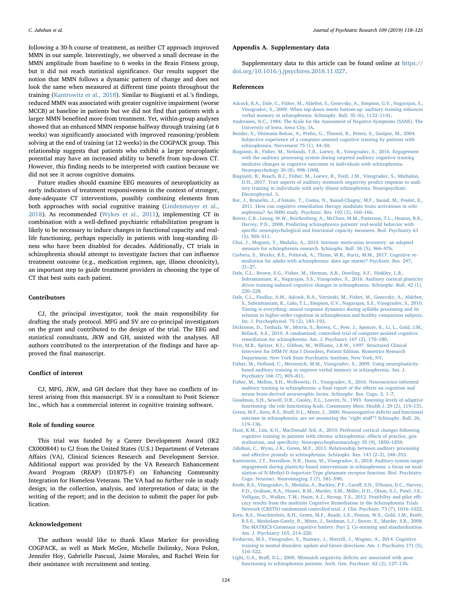following a 30-h course of treatment, as neither CT approach improved MMN in our sample. Interestingly, we observed a small decrease in the MMN amplitude from baseline to 6 weeks in the Brain Fitness group, but it did not reach statistical significance. Our results support the notion that MMN follows a dynamic pattern of change and does not look the same when measured at different time points throughout the training [\(Kantrowitz et al., 2018](#page-6-23)). Similar to Biagianti et al.'s findings, reduced MMN was associated with greater cognitive impairment (worse MCCB) at baseline in patients but we did not find that patients with a larger MMN benefited more from treatment. Yet, within-group analyses showed that an enhanced MMN response halfway through training (at 6 weeks) was significantly associated with improved reasoning/problem solving at the end of training (at 12 weeks) in the COGPACK group. This relationship suggests that patients who exhibit a larger neuroplastic potential may have an increased ability to benefit from top-down CT. However, this finding needs to be interpreted with caution because we did not see it across cognitive domains.

Future studies should examine EEG measures of neuroplasticity as early indicators of treatment responsiveness in the context of stronger, dose-adequate CT interventions, possibly combining elements from both approaches with social cognitive training ([Lindenmayer et al.,](#page-7-22) [2018\)](#page-7-22). As recommended ([Wykes et al., 2011](#page-7-1)), implementing CT in combination with a well-defined psychiatric rehabilitation program is likely to be necessary to induce changes in functional capacity and reallife functioning, perhaps especially in patients with long-standing illness who have been disabled for decades. Additionally, CT trials in schizophrenia should attempt to investigate factors that can influence treatment outcome (e.g., medication regimen, age, illness chronicity), an important step to guide treatment providers in choosing the type of CT that best suits each patient.

## Contributors

CJ, the principal investigator, took the main responsibility for drafting the study protocol. MFG and SV are co-principal investigators on the grant and contributed to the design of the trial. The EEG and statistical consultants, JKW and GH, assisted with the analyses. All authors contributed to the interpretation of the findings and have approved the final manuscript.

### Conflict of interest

CJ, MFG, JKW, and GH declare that they have no conflicts of interest arising from this manuscript. SV is a consultant to Posit Science Inc., which has a commercial interest in cognitive training software.

#### Role of funding source

This trial was funded by a Career Development Award (IK2 CX000844) to CJ from the United States (U.S.) Department of Veterans Affairs (VA), Clinical Sciences Research and Development Service. Additional support was provided by the VA Research Enhancement Award Program (REAP) (D1875-F) on Enhancing Community Integration for Homeless Veterans. The VA had no further role in study design; in the collection, analysis, and interpretation of data; in the writing of the report; and in the decision to submit the paper for publication.

#### Acknowledgement

The authors would like to thank Klaus Marker for providing COGPACK, as well as Mark McGee, Michelle Dolinsky, Nora Polon, Jennifer Hoy, Gabrielle Pascual, Jaime Morales, and Rachel Wein for their assistance with recruitment and testing.

## Appendix A. Supplementary data

Supplementary data to this article can be found online at [https://](https://doi.org/10.1016/j.jpsychires.2018.11.027) [doi.org/10.1016/j.jpsychires.2018.11.027](https://doi.org/10.1016/j.jpsychires.2018.11.027).

#### References

- <span id="page-6-6"></span>[Adcock, R.A., Dale, C., Fisher, M., Aldebot, S., Genevsky, A., Simpson, G.V., Nagarajan, S.,](http://refhub.elsevier.com/S0022-3956(18)31010-0/sref1) [Vinogradov, S., 2009. When top-down meets bottom-up: auditory training enhances](http://refhub.elsevier.com/S0022-3956(18)31010-0/sref1) [verbal memory in schizophrenia. Schizophr. Bull. 35 \(6\), 1132](http://refhub.elsevier.com/S0022-3956(18)31010-0/sref1)–1141.
- <span id="page-6-14"></span>[Andreasen, N.C., 1984. The Scale for the Assessment of Negative Symptoms \(SANS\). The](http://refhub.elsevier.com/S0022-3956(18)31010-0/sref2) [University of Iowa, Iowa City, IA.](http://refhub.elsevier.com/S0022-3956(18)31010-0/sref2)
- <span id="page-6-18"></span>[Bender, S., Dittmann-Balcar, A., Prehn, G., Thienel, R., Peters, S., Gastpar, M., 2004.](http://refhub.elsevier.com/S0022-3956(18)31010-0/sref3) [Subjective experience of a computer-assisted cognitive training by patients with](http://refhub.elsevier.com/S0022-3956(18)31010-0/sref3) [schizophrenia. Nervenarzt 75 \(1\), 44](http://refhub.elsevier.com/S0022-3956(18)31010-0/sref3)–50.
- <span id="page-6-8"></span>[Biagianti, B., Fisher, M., Neilands, T.B., Loewy, R., Vinogradov, S., 2016. Engagement](http://refhub.elsevier.com/S0022-3956(18)31010-0/sref4) [with the auditory processing system during targeted auditory cognitive training](http://refhub.elsevier.com/S0022-3956(18)31010-0/sref4) [mediates changes in cognitive outcomes in individuals with schizophrenia.](http://refhub.elsevier.com/S0022-3956(18)31010-0/sref4) [Neuropsychology 30 \(8\), 998](http://refhub.elsevier.com/S0022-3956(18)31010-0/sref4)–1008.
- <span id="page-6-12"></span>[Biagianti, B., Roach, B.J., Fisher, M., Loewy, R., Ford, J.M., Vinogradov, S., Mathalon,](http://refhub.elsevier.com/S0022-3956(18)31010-0/sref5) [D.H., 2017. Trait aspects of auditory mismatch negativity predict response to audi](http://refhub.elsevier.com/S0022-3956(18)31010-0/sref5)[tory training in individuals with early illness schizophrenia. Neuropsychiatr.](http://refhub.elsevier.com/S0022-3956(18)31010-0/sref5) [Electrophysiol. 3](http://refhub.elsevier.com/S0022-3956(18)31010-0/sref5).
- <span id="page-6-2"></span>[Bor, J., Brunelin, J., d'Amato, T., Costes, N., Suaud-Chagny, M.F., Saoud, M., Poulet, E.,](http://refhub.elsevier.com/S0022-3956(18)31010-0/sref6) [2011. How can cognitive remediation therapy modulate brain activations in schi](http://refhub.elsevier.com/S0022-3956(18)31010-0/sref6)[zophrenia? An fMRI study. Psychiatr. Res. 192 \(3\), 160](http://refhub.elsevier.com/S0022-3956(18)31010-0/sref6)–166.
- <span id="page-6-0"></span>[Bowie, C.R., Leung, W.W., Reichenberg, A., McClure, M.M., Patterson, T.L., Heaton, R.K.,](http://refhub.elsevier.com/S0022-3956(18)31010-0/sref7) [Harvey, P.D., 2008. Predicting schizophrenia patients' real-world behavior with](http://refhub.elsevier.com/S0022-3956(18)31010-0/sref7) specifi[c neuropsychological and functional capacity measures. Biol. Psychiatry 63](http://refhub.elsevier.com/S0022-3956(18)31010-0/sref7) [\(5\), 505](http://refhub.elsevier.com/S0022-3956(18)31010-0/sref7)–511.
- <span id="page-6-16"></span>[Choi, J., Mogami, T., Medalia, A., 2010. Intrinsic motivation inventory: an adapted](http://refhub.elsevier.com/S0022-3956(18)31010-0/sref8) [measure for schizophrenia research. Schizophr. Bull. 36 \(5\), 966](http://refhub.elsevier.com/S0022-3956(18)31010-0/sref8)–976.
- <span id="page-6-10"></span>[Corbera, S., Wexler, B.E., Poltorak, A., Thime, W.R., Kurtz, M.M., 2017. Cognitive re](http://refhub.elsevier.com/S0022-3956(18)31010-0/sref9)[mediation for adults with schizophrenia: does age matter? Psychiatr. Res. 247,](http://refhub.elsevier.com/S0022-3956(18)31010-0/sref9) 21–[27](http://refhub.elsevier.com/S0022-3956(18)31010-0/sref9).
- <span id="page-6-9"></span>[Dale, C.L., Brown, E.G., Fisher, M., Herman, A.B., Dowling, A.F., Hinkley, L.B.,](http://refhub.elsevier.com/S0022-3956(18)31010-0/sref10) [Subramaniam, K., Nagarajan, S.S., Vinogradov, S., 2016. Auditory cortical plasticity](http://refhub.elsevier.com/S0022-3956(18)31010-0/sref10) [drives training-induced cognitive changes in schizophrenia. Schizophr. Bull. 42 \(1\),](http://refhub.elsevier.com/S0022-3956(18)31010-0/sref10) 220–[228](http://refhub.elsevier.com/S0022-3956(18)31010-0/sref10).
- <span id="page-6-7"></span>[Dale, C.L., Findlay, A.M., Adcock, R.A., Vertinski, M., Fisher, M., Genevsky, A., Aldebot,](http://refhub.elsevier.com/S0022-3956(18)31010-0/sref11) [S., Subramaniam, K., Luks, T.L., Simpson, G.V., Nagarajan, S.S., Vinogradov, S., 2010.](http://refhub.elsevier.com/S0022-3956(18)31010-0/sref11) [Timing is everything: neural response dynamics during syllable processing and its](http://refhub.elsevier.com/S0022-3956(18)31010-0/sref11) [relation to higher-order cognition in schizophrenia and healthy comparison subjects.](http://refhub.elsevier.com/S0022-3956(18)31010-0/sref11) [Int. J. Psychophysiol. 75 \(2\), 183](http://refhub.elsevier.com/S0022-3956(18)31010-0/sref11)–193.
- <span id="page-6-21"></span>[Dickinson, D., Tenhula, W., Morris, S., Brown, C., Peer, J., Spencer, K., Li, L., Gold, J.M.,](http://refhub.elsevier.com/S0022-3956(18)31010-0/sref12) [Bellack, A.S., 2010. A randomized, controlled trial of computer-assisted cognitive](http://refhub.elsevier.com/S0022-3956(18)31010-0/sref12) [remediation for schizophrenia. Am. J. Psychiatry 167 \(2\), 170](http://refhub.elsevier.com/S0022-3956(18)31010-0/sref12)–180.
- <span id="page-6-13"></span>[First, M.B., Spitzer, R.L., Gibbon, M., Williams, J.B.W., 1997. Structured Clinical](http://refhub.elsevier.com/S0022-3956(18)31010-0/sref14) [Interview for DSM-IV Axis I Disorders, Patient Edition. Biometrics Research](http://refhub.elsevier.com/S0022-3956(18)31010-0/sref14) [Department. New York State Psychiatric Institute, New York, NY](http://refhub.elsevier.com/S0022-3956(18)31010-0/sref14).
- <span id="page-6-5"></span>[Fisher, M., Holland, C., Merzenich, M.M., Vinogradov, S., 2009. Using neuroplasticity](http://refhub.elsevier.com/S0022-3956(18)31010-0/sref15)[based auditory training to improve verbal memory in schizophrenia. Am. J.](http://refhub.elsevier.com/S0022-3956(18)31010-0/sref15) [Psychiatry 166 \(7\), 805](http://refhub.elsevier.com/S0022-3956(18)31010-0/sref15)–811.
- <span id="page-6-17"></span>[Fisher, M., Mellon, S.H., Wolkowitz, O., Vinogradov, S., 2016. Neuroscience-informed](http://refhub.elsevier.com/S0022-3956(18)31010-0/sref16) [auditory training in schizophrenia: a](http://refhub.elsevier.com/S0022-3956(18)31010-0/sref16) final report of the effects on cognition and [serum brain-derived neurotrophic factor. Schizophr. Res. Cogn. 3, 1](http://refhub.elsevier.com/S0022-3956(18)31010-0/sref16)–7.
- <span id="page-6-15"></span>[Goodman, S.H., Sewell, D.R., Cooley, E.L., Leavitt, N., 1993. Assessing levels of adaptive](http://refhub.elsevier.com/S0022-3956(18)31010-0/sref17) [functioning: the role functioning Scale. Community Ment. Health J. 29 \(2\), 119](http://refhub.elsevier.com/S0022-3956(18)31010-0/sref17)–131.
- <span id="page-6-1"></span>Green, M.F., Kern, R.S., Braff[, D.L., Mintz, J., 2000. Neurocognitive de](http://refhub.elsevier.com/S0022-3956(18)31010-0/sref18)ficits and functional [outcome in schizophrenia: are we measuring the](http://refhub.elsevier.com/S0022-3956(18)31010-0/sref18) "right stuff"? Schizophr. Bull. 26, 119–[136](http://refhub.elsevier.com/S0022-3956(18)31010-0/sref18).
- <span id="page-6-3"></span>[Haut, K.M., Lim, K.O., MacDonald 3rd, A., 2010. Prefrontal cortical changes following](http://refhub.elsevier.com/S0022-3956(18)31010-0/sref19) [cognitive training in patients with chronic schizophrenia: e](http://refhub.elsevier.com/S0022-3956(18)31010-0/sref19)ffects of practice, generalization, and specifi[city. Neuropsychopharmacology 35 \(9\), 1850](http://refhub.elsevier.com/S0022-3956(18)31010-0/sref19)–1859.
- <span id="page-6-20"></span>[Jahshan, C., Wynn, J.K., Green, M.F., 2013. Relationship between auditory processing](http://refhub.elsevier.com/S0022-3956(18)31010-0/sref20) and aff[ective prosody in schizophrenia. Schizophr. Res. 143 \(2](http://refhub.elsevier.com/S0022-3956(18)31010-0/sref20)–3), 348–353.
- <span id="page-6-23"></span>[Kantrowitz, J.T., Swerdlow, N.R., Dunn, W., Vinogradov, S., 2018. Auditory system target](http://refhub.elsevier.com/S0022-3956(18)31010-0/sref21) [engagement during plasticity-based interventions in schizophrenia: a focus on mod](http://refhub.elsevier.com/S0022-3956(18)31010-0/sref21)[ulation of N-Methyl-D-Aspartate-Type glutamate receptor function. Biol. Psychiatry](http://refhub.elsevier.com/S0022-3956(18)31010-0/sref21) [Cogn. Neurosci. Neuroimaging 3 \(7\), 581](http://refhub.elsevier.com/S0022-3956(18)31010-0/sref21)–590.
- <span id="page-6-22"></span>[Keefe, R.S., Vinogradov, S., Medalia, A., Buckley, P.F., Caro](http://refhub.elsevier.com/S0022-3956(18)31010-0/sref22)ff, S.N., D'Souza, D.C., Harvey, [P.D., Graham, K.A., Hamer, R.M., Marder, S.M., Miller, D.D., Olson, S.J., Patel, J.K.,](http://refhub.elsevier.com/S0022-3956(18)31010-0/sref22) [Velligan, D., Walker, T.M., Haim, A.J., Stroup, T.S., 2012. Feasibility and pilot e](http://refhub.elsevier.com/S0022-3956(18)31010-0/sref22)ffi[cacy results from the multisite Cognitive Remediation in the Schizophrenia Trials](http://refhub.elsevier.com/S0022-3956(18)31010-0/sref22) [Network \(CRSTN\) randomized controlled trial. J. Clin. Psychiatr. 73 \(7\), 1016](http://refhub.elsevier.com/S0022-3956(18)31010-0/sref22)–1022.
- <span id="page-6-19"></span>[Kern, R.S., Nuechterlein, K.H., Green, M.F., Baade, L.E., Fenton, W.S., Gold, J.M., Keefe,](http://refhub.elsevier.com/S0022-3956(18)31010-0/sref23) [R.S.E., Mesholam-Gately, R., Mintz, J., Seidman, L.J., Stover, E., Marder, S.R., 2008.](http://refhub.elsevier.com/S0022-3956(18)31010-0/sref23) [The MATRICS Consensus cognitive battery: Part 2. Co-norming and standardization.](http://refhub.elsevier.com/S0022-3956(18)31010-0/sref23) [Am. J. Psychiatry 165, 214](http://refhub.elsevier.com/S0022-3956(18)31010-0/sref23)–220.
- <span id="page-6-4"></span>[Keshavan, M.S., Vinogradov, S., Rumsey, J., Sherrill, J., Wagner, A., 2014. Cognitive](http://refhub.elsevier.com/S0022-3956(18)31010-0/sref24) [training in mental disorders: update and future directions. Am. J. Psychiatry 171 \(5\),](http://refhub.elsevier.com/S0022-3956(18)31010-0/sref24) 510–[522](http://refhub.elsevier.com/S0022-3956(18)31010-0/sref24).
- <span id="page-6-11"></span>Light, G.A., Braff[, D.L., 2005. Mismatch negativity de](http://refhub.elsevier.com/S0022-3956(18)31010-0/sref25)ficits are associated with poor [functioning in schizophrenia patients. Arch. Gen. Psychiatr. 62 \(2\), 127](http://refhub.elsevier.com/S0022-3956(18)31010-0/sref25)–136.